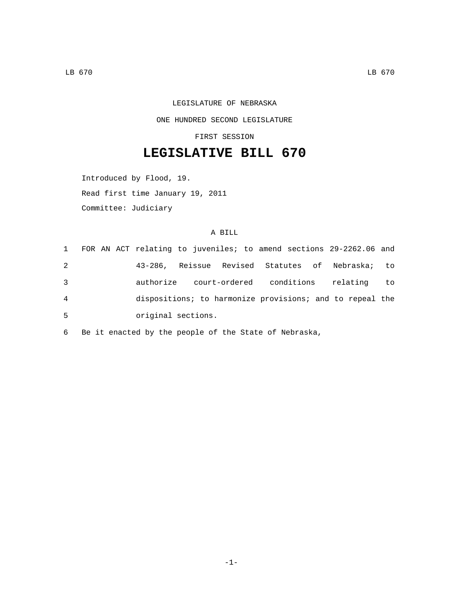## LEGISLATURE OF NEBRASKA ONE HUNDRED SECOND LEGISLATURE

FIRST SESSION

## **LEGISLATIVE BILL 670**

Introduced by Flood, 19.

Read first time January 19, 2011

Committee: Judiciary

## A BILL

 FOR AN ACT relating to juveniles; to amend sections 29-2262.06 and 43-286, Reissue Revised Statutes of Nebraska; to authorize court-ordered conditions relating to dispositions; to harmonize provisions; and to repeal the original sections.5

6 Be it enacted by the people of the State of Nebraska,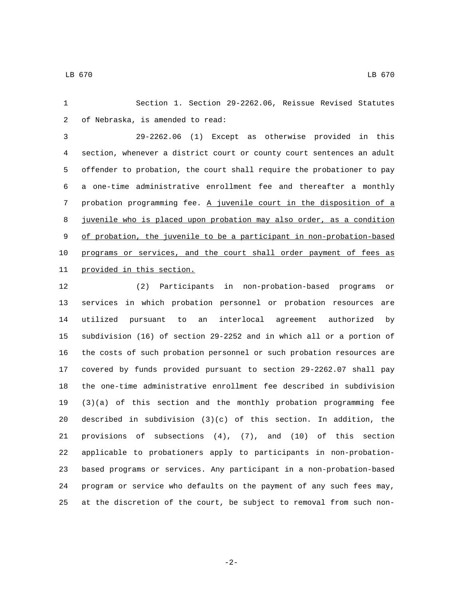Section 1. Section 29-2262.06, Reissue Revised Statutes 2 of Nebraska, is amended to read:

 29-2262.06 (1) Except as otherwise provided in this section, whenever a district court or county court sentences an adult offender to probation, the court shall require the probationer to pay a one-time administrative enrollment fee and thereafter a monthly probation programming fee. A juvenile court in the disposition of a juvenile who is placed upon probation may also order, as a condition of probation, the juvenile to be a participant in non-probation-based programs or services, and the court shall order payment of fees as 11 provided in this section.

 (2) Participants in non-probation-based programs or services in which probation personnel or probation resources are utilized pursuant to an interlocal agreement authorized by subdivision (16) of section 29-2252 and in which all or a portion of the costs of such probation personnel or such probation resources are covered by funds provided pursuant to section 29-2262.07 shall pay the one-time administrative enrollment fee described in subdivision (3)(a) of this section and the monthly probation programming fee described in subdivision (3)(c) of this section. In addition, the provisions of subsections (4), (7), and (10) of this section applicable to probationers apply to participants in non-probation- based programs or services. Any participant in a non-probation-based program or service who defaults on the payment of any such fees may, at the discretion of the court, be subject to removal from such non-

-2-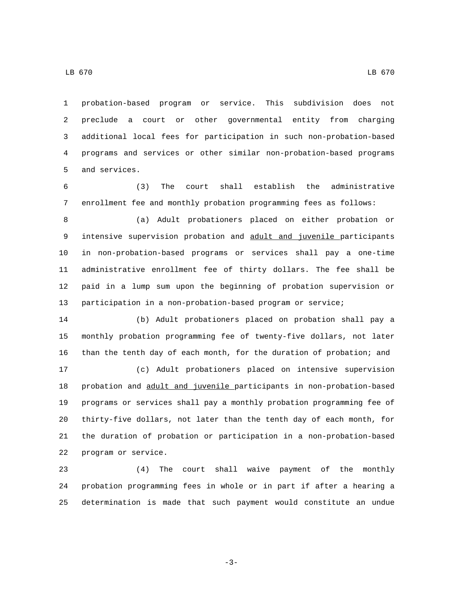probation-based program or service. This subdivision does not preclude a court or other governmental entity from charging additional local fees for participation in such non-probation-based programs and services or other similar non-probation-based programs 5 and services.

 (3) The court shall establish the administrative enrollment fee and monthly probation programming fees as follows:

 (a) Adult probationers placed on either probation or intensive supervision probation and adult and juvenile participants in non-probation-based programs or services shall pay a one-time administrative enrollment fee of thirty dollars. The fee shall be paid in a lump sum upon the beginning of probation supervision or participation in a non-probation-based program or service;

 (b) Adult probationers placed on probation shall pay a monthly probation programming fee of twenty-five dollars, not later than the tenth day of each month, for the duration of probation; and

 (c) Adult probationers placed on intensive supervision probation and adult and juvenile participants in non-probation-based programs or services shall pay a monthly probation programming fee of thirty-five dollars, not later than the tenth day of each month, for the duration of probation or participation in a non-probation-based 22 program or service.

 (4) The court shall waive payment of the monthly probation programming fees in whole or in part if after a hearing a determination is made that such payment would constitute an undue

LB 670 LB 670

-3-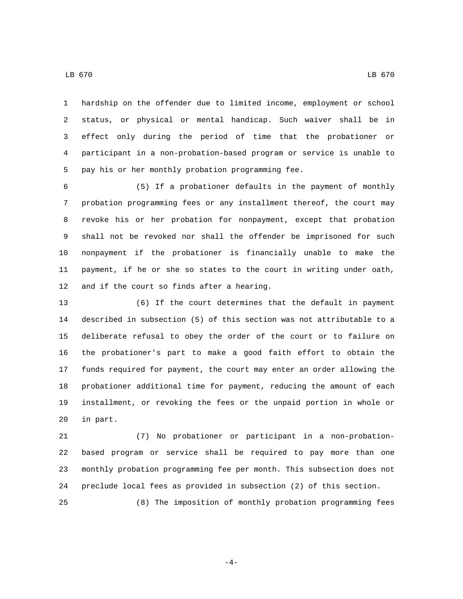hardship on the offender due to limited income, employment or school status, or physical or mental handicap. Such waiver shall be in effect only during the period of time that the probationer or participant in a non-probation-based program or service is unable to 5 pay his or her monthly probation programming fee.

 (5) If a probationer defaults in the payment of monthly probation programming fees or any installment thereof, the court may revoke his or her probation for nonpayment, except that probation shall not be revoked nor shall the offender be imprisoned for such nonpayment if the probationer is financially unable to make the payment, if he or she so states to the court in writing under oath, 12 and if the court so finds after a hearing.

 (6) If the court determines that the default in payment described in subsection (5) of this section was not attributable to a deliberate refusal to obey the order of the court or to failure on the probationer's part to make a good faith effort to obtain the funds required for payment, the court may enter an order allowing the probationer additional time for payment, reducing the amount of each installment, or revoking the fees or the unpaid portion in whole or 20 in part.

 (7) No probationer or participant in a non-probation- based program or service shall be required to pay more than one monthly probation programming fee per month. This subsection does not preclude local fees as provided in subsection (2) of this section.

(8) The imposition of monthly probation programming fees

-4-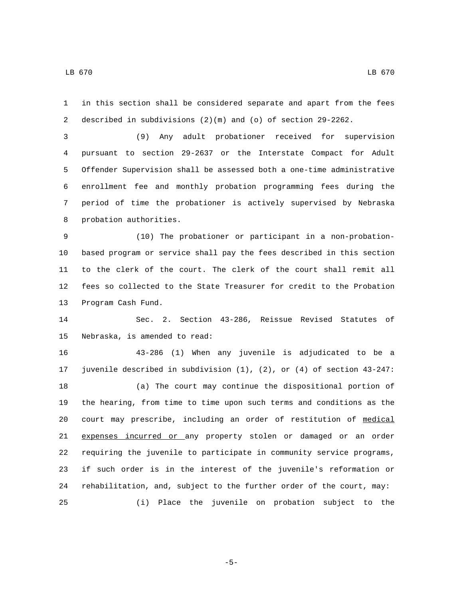in this section shall be considered separate and apart from the fees described in subdivisions (2)(m) and (o) of section 29-2262.

 (9) Any adult probationer received for supervision pursuant to section 29-2637 or the Interstate Compact for Adult Offender Supervision shall be assessed both a one-time administrative enrollment fee and monthly probation programming fees during the period of time the probationer is actively supervised by Nebraska 8 probation authorities.

 (10) The probationer or participant in a non-probation- based program or service shall pay the fees described in this section to the clerk of the court. The clerk of the court shall remit all fees so collected to the State Treasurer for credit to the Probation 13 Program Cash Fund.

 Sec. 2. Section 43-286, Reissue Revised Statutes of 15 Nebraska, is amended to read:

 43-286 (1) When any juvenile is adjudicated to be a juvenile described in subdivision (1), (2), or (4) of section 43-247: (a) The court may continue the dispositional portion of the hearing, from time to time upon such terms and conditions as the court may prescribe, including an order of restitution of medical expenses incurred or any property stolen or damaged or an order requiring the juvenile to participate in community service programs, if such order is in the interest of the juvenile's reformation or rehabilitation, and, subject to the further order of the court, may: (i) Place the juvenile on probation subject to the

-5-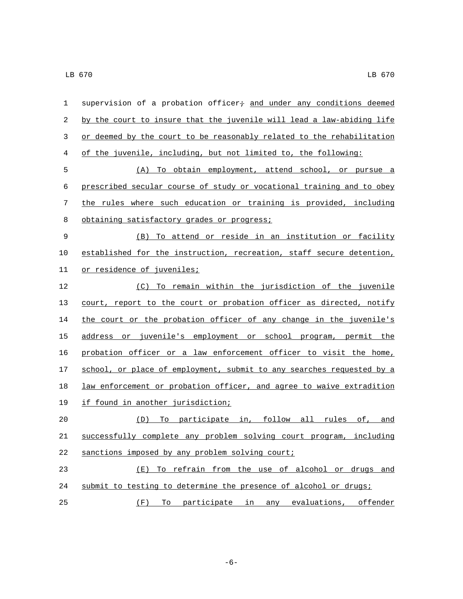| $\mathbf{1}$ | supervision of a probation officer+ and under any conditions deemed   |
|--------------|-----------------------------------------------------------------------|
| 2            | by the court to insure that the juvenile will lead a law-abiding life |
| 3            | or deemed by the court to be reasonably related to the rehabilitation |
| 4            | of the juvenile, including, but not limited to, the following:        |
| 5            | (A) To obtain employment, attend school, or pursue a                  |
| 6            | prescribed secular course of study or vocational training and to obey |
| 7            | the rules where such education or training is provided, including     |
| 8            | obtaining satisfactory grades or progress;                            |
| $\mathsf 9$  | (B) To attend or reside in an institution or facility                 |
| 10           | established for the instruction, recreation, staff secure detention,  |
| 11           | or residence of juveniles;                                            |
| 12           | (C) To remain within the jurisdiction of the juvenile                 |
| 13           | court, report to the court or probation officer as directed, notify   |
| 14           | the court or the probation officer of any change in the juvenile's    |
| 15           | address or juvenile's employment or school program, permit the        |
| 16           | probation officer or a law enforcement officer to visit the home,     |
| 17           | school, or place of employment, submit to any searches requested by a |
| 18           | law enforcement or probation officer, and agree to waive extradition  |
| 19           | if found in another jurisdiction;                                     |
| 20           | To participate in, follow all rules of, and<br>(D)                    |
| 21           | successfully complete any problem solving court program, including    |
| 22           | sanctions imposed by any problem solving court;                       |
| 23           | To refrain from the use of alcohol or drugs and<br>(E)                |
| 24           | submit to testing to determine the presence of alcohol or drugs;      |
| 25           | (F) To participate in any evaluations, offender                       |

-6-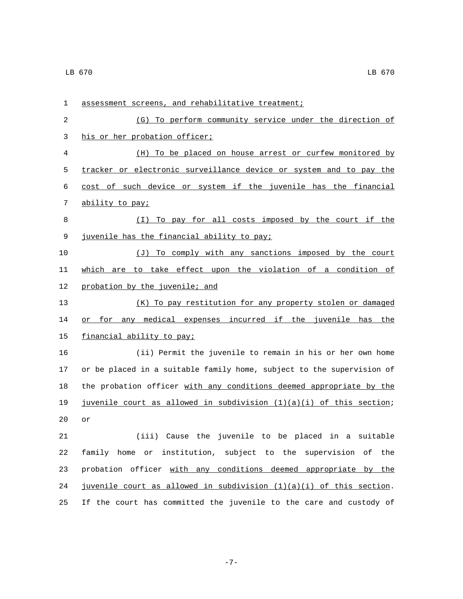| $\mathbf 1$ | assessment screens, and rehabilitative treatment;                     |
|-------------|-----------------------------------------------------------------------|
| 2           | To perform community service under the direction of<br>(G)            |
| 3           | his or her probation officer;                                         |
| 4           | (H) To be placed on house arrest or curfew monitored by               |
| 5           | tracker or electronic surveillance device or system and to pay the    |
| 6           | cost of such device or system if the juvenile has the financial       |
| 7           | ability to pay;                                                       |
| 8           | To pay for all costs imposed by the court if the<br>( I )             |
| 9           | juvenile has the financial ability to pay;                            |
| 10          | (J) To comply with any sanctions imposed by the court                 |
| 11          | which are to take effect upon the violation of a condition of         |
| 12          | probation by the juvenile; and                                        |
| 13          | (K) To pay restitution for any property stolen or damaged             |
| 14          | any medical expenses incurred if the juvenile has<br>for<br>the<br>or |
| 15          | financial ability to pay;                                             |
| 16          | (ii) Permit the juvenile to remain in his or her own home             |
| 17          | or be placed in a suitable family home, subject to the supervision of |
| 18          | the probation officer with any conditions deemed appropriate by the   |
| 19          | juvenile court as allowed in subdivision $(1)(a)(i)$ of this section; |
| 20          | or                                                                    |
| 21          | (iii)<br>Cause the juvenile to be placed in a suitable                |
| 22          | family home or institution, subject to the supervision of the         |
| 23          | probation officer with any conditions deemed appropriate by the       |
| 24          | juvenile court as allowed in subdivision $(1)(a)(i)$ of this section. |
| 25          | If the court has committed the juvenile to the care and custody of    |

-7-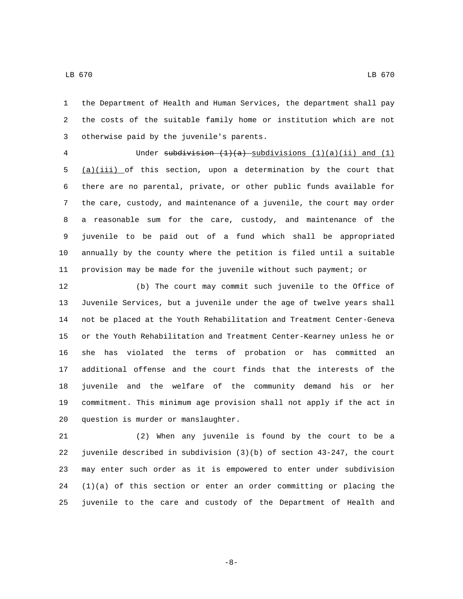the Department of Health and Human Services, the department shall pay the costs of the suitable family home or institution which are not 3 otherwise paid by the juvenile's parents.

4 Under subdivision  $(1)(a)$  subdivisions  $(1)(a)(ii)$  and  $(1)$  $5 \frac{a}{i}$  (a)(iii) of this section, upon a determination by the court that there are no parental, private, or other public funds available for the care, custody, and maintenance of a juvenile, the court may order a reasonable sum for the care, custody, and maintenance of the juvenile to be paid out of a fund which shall be appropriated annually by the county where the petition is filed until a suitable provision may be made for the juvenile without such payment; or

 (b) The court may commit such juvenile to the Office of Juvenile Services, but a juvenile under the age of twelve years shall not be placed at the Youth Rehabilitation and Treatment Center-Geneva or the Youth Rehabilitation and Treatment Center-Kearney unless he or she has violated the terms of probation or has committed an additional offense and the court finds that the interests of the juvenile and the welfare of the community demand his or her commitment. This minimum age provision shall not apply if the act in 20 question is murder or manslaughter.

 (2) When any juvenile is found by the court to be a juvenile described in subdivision (3)(b) of section 43-247, the court may enter such order as it is empowered to enter under subdivision (1)(a) of this section or enter an order committing or placing the juvenile to the care and custody of the Department of Health and

-8-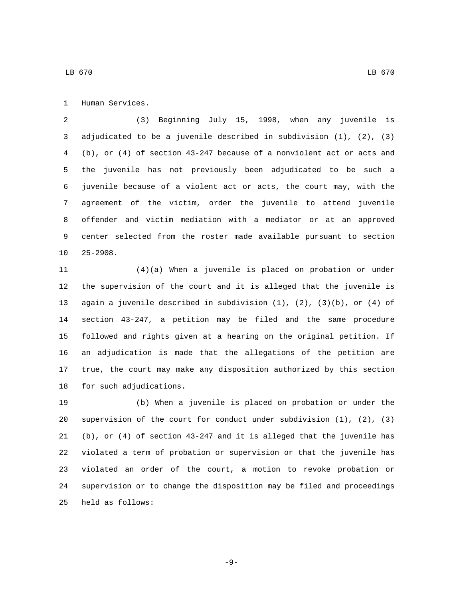1 Human Services.

 (3) Beginning July 15, 1998, when any juvenile is adjudicated to be a juvenile described in subdivision (1), (2), (3) (b), or (4) of section 43-247 because of a nonviolent act or acts and the juvenile has not previously been adjudicated to be such a juvenile because of a violent act or acts, the court may, with the agreement of the victim, order the juvenile to attend juvenile offender and victim mediation with a mediator or at an approved center selected from the roster made available pursuant to section 10 25-2908.

 (4)(a) When a juvenile is placed on probation or under the supervision of the court and it is alleged that the juvenile is again a juvenile described in subdivision (1), (2), (3)(b), or (4) of section 43-247, a petition may be filed and the same procedure followed and rights given at a hearing on the original petition. If an adjudication is made that the allegations of the petition are true, the court may make any disposition authorized by this section 18 for such adjudications.

 (b) When a juvenile is placed on probation or under the supervision of the court for conduct under subdivision (1), (2), (3) (b), or (4) of section 43-247 and it is alleged that the juvenile has violated a term of probation or supervision or that the juvenile has violated an order of the court, a motion to revoke probation or supervision or to change the disposition may be filed and proceedings 25 held as follows:

-9-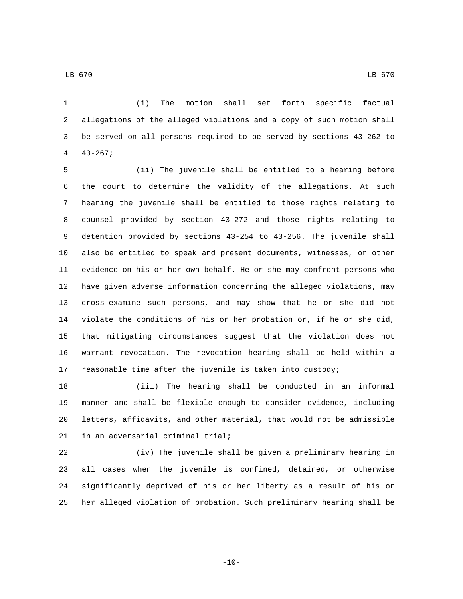(i) The motion shall set forth specific factual allegations of the alleged violations and a copy of such motion shall be served on all persons required to be served by sections 43-262 to  $43-267;$ 

 (ii) The juvenile shall be entitled to a hearing before the court to determine the validity of the allegations. At such hearing the juvenile shall be entitled to those rights relating to counsel provided by section 43-272 and those rights relating to detention provided by sections 43-254 to 43-256. The juvenile shall also be entitled to speak and present documents, witnesses, or other evidence on his or her own behalf. He or she may confront persons who have given adverse information concerning the alleged violations, may cross-examine such persons, and may show that he or she did not violate the conditions of his or her probation or, if he or she did, that mitigating circumstances suggest that the violation does not warrant revocation. The revocation hearing shall be held within a reasonable time after the juvenile is taken into custody;

 (iii) The hearing shall be conducted in an informal manner and shall be flexible enough to consider evidence, including letters, affidavits, and other material, that would not be admissible in an adversarial criminal trial;

 (iv) The juvenile shall be given a preliminary hearing in all cases when the juvenile is confined, detained, or otherwise significantly deprived of his or her liberty as a result of his or her alleged violation of probation. Such preliminary hearing shall be

 $-10-$